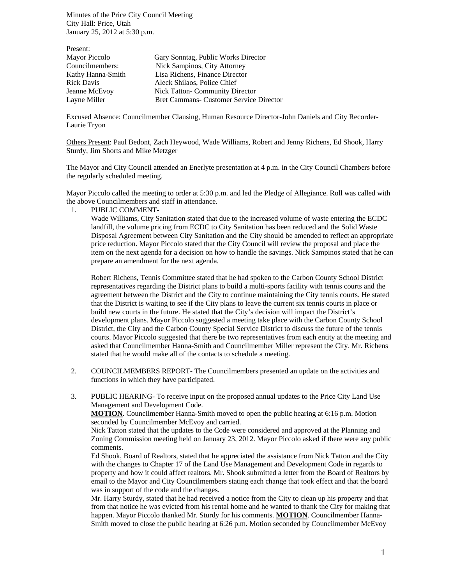Minutes of the Price City Council Meeting City Hall: Price, Utah January 25, 2012 at 5:30 p.m.

| Present:          |                                                |
|-------------------|------------------------------------------------|
| Mayor Piccolo     | Gary Sonntag, Public Works Director            |
| Councilmembers:   | Nick Sampinos, City Attorney                   |
| Kathy Hanna-Smith | Lisa Richens, Finance Director                 |
| <b>Rick Davis</b> | Aleck Shilaos, Police Chief                    |
| Jeanne McEvoy     | <b>Nick Tatton-Community Director</b>          |
| Layne Miller      | <b>Bret Cammans- Customer Service Director</b> |

Excused Absence: Councilmember Clausing, Human Resource Director-John Daniels and City Recorder-Laurie Tryon

Others Present: Paul Bedont, Zach Heywood, Wade Williams, Robert and Jenny Richens, Ed Shook, Harry Sturdy, Jim Shorts and Mike Metzger

The Mayor and City Council attended an Enerlyte presentation at 4 p.m. in the City Council Chambers before the regularly scheduled meeting.

Mayor Piccolo called the meeting to order at 5:30 p.m. and led the Pledge of Allegiance. Roll was called with the above Councilmembers and staff in attendance.

1. PUBLIC COMMENT-

Wade Williams, City Sanitation stated that due to the increased volume of waste entering the ECDC landfill, the volume pricing from ECDC to City Sanitation has been reduced and the Solid Waste Disposal Agreement between City Sanitation and the City should be amended to reflect an appropriate price reduction. Mayor Piccolo stated that the City Council will review the proposal and place the item on the next agenda for a decision on how to handle the savings. Nick Sampinos stated that he can prepare an amendment for the next agenda.

Robert Richens, Tennis Committee stated that he had spoken to the Carbon County School District representatives regarding the District plans to build a multi-sports facility with tennis courts and the agreement between the District and the City to continue maintaining the City tennis courts. He stated that the District is waiting to see if the City plans to leave the current six tennis courts in place or build new courts in the future. He stated that the City's decision will impact the District's development plans. Mayor Piccolo suggested a meeting take place with the Carbon County School District, the City and the Carbon County Special Service District to discuss the future of the tennis courts. Mayor Piccolo suggested that there be two representatives from each entity at the meeting and asked that Councilmember Hanna-Smith and Councilmember Miller represent the City. Mr. Richens stated that he would make all of the contacts to schedule a meeting.

- 2. COUNCILMEMBERS REPORT- The Councilmembers presented an update on the activities and functions in which they have participated.
- 3. PUBLIC HEARING- To receive input on the proposed annual updates to the Price City Land Use Management and Development Code.

**MOTION**. Councilmember Hanna-Smith moved to open the public hearing at 6:16 p.m. Motion seconded by Councilmember McEvoy and carried.

Nick Tatton stated that the updates to the Code were considered and approved at the Planning and Zoning Commission meeting held on January 23, 2012. Mayor Piccolo asked if there were any public comments.

Ed Shook, Board of Realtors, stated that he appreciated the assistance from Nick Tatton and the City with the changes to Chapter 17 of the Land Use Management and Development Code in regards to property and how it could affect realtors. Mr. Shook submitted a letter from the Board of Realtors by email to the Mayor and City Councilmembers stating each change that took effect and that the board was in support of the code and the changes.

Mr. Harry Sturdy, stated that he had received a notice from the City to clean up his property and that from that notice he was evicted from his rental home and he wanted to thank the City for making that happen. Mayor Piccolo thanked Mr. Sturdy for his comments. **MOTION**. Councilmember Hanna-Smith moved to close the public hearing at 6:26 p.m. Motion seconded by Councilmember McEvoy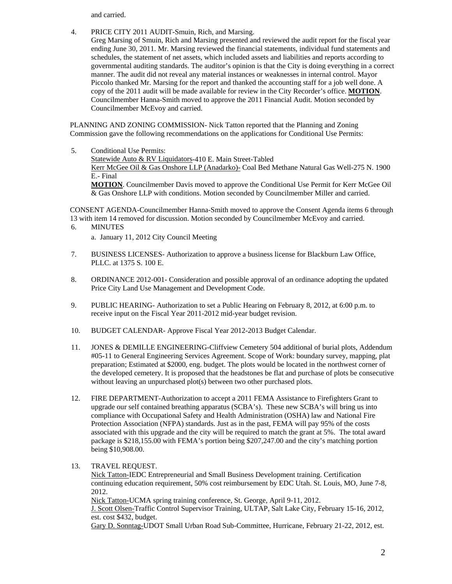and carried.

- 4. PRICE CITY 2011 AUDIT-Smuin, Rich, and Marsing.
	- Greg Marsing of Smuin, Rich and Marsing presented and reviewed the audit report for the fiscal year ending June 30, 2011. Mr. Marsing reviewed the financial statements, individual fund statements and schedules, the statement of net assets, which included assets and liabilities and reports according to governmental auditing standards. The auditor's opinion is that the City is doing everything in a correct manner. The audit did not reveal any material instances or weaknesses in internal control. Mayor Piccolo thanked Mr. Marsing for the report and thanked the accounting staff for a job well done. A copy of the 2011 audit will be made available for review in the City Recorder's office. **MOTION**. Councilmember Hanna-Smith moved to approve the 2011 Financial Audit. Motion seconded by Councilmember McEvoy and carried.

PLANNING AND ZONING COMMISSION- Nick Tatton reported that the Planning and Zoning Commission gave the following recommendations on the applications for Conditional Use Permits:

5. Conditional Use Permits: Statewide Auto & RV Liquidators-410 E. Main Street-Tabled Kerr McGee Oil & Gas Onshore LLP (Anadarko)- Coal Bed Methane Natural Gas Well-275 N. 1900 E.- Final **MOTION**. Councilmember Davis moved to approve the Conditional Use Permit for Kerr McGee Oil & Gas Onshore LLP with conditions. Motion seconded by Councilmember Miller and carried.

CONSENT AGENDA-Councilmember Hanna-Smith moved to approve the Consent Agenda items 6 through 13 with item 14 removed for discussion. Motion seconded by Councilmember McEvoy and carried.

6. MINUTES

a. January 11, 2012 City Council Meeting

- 7. BUSINESS LICENSES- Authorization to approve a business license for Blackburn Law Office, PLLC. at 1375 S. 100 E.
- 8. ORDINANCE 2012-001- Consideration and possible approval of an ordinance adopting the updated Price City Land Use Management and Development Code.
- 9. PUBLIC HEARING- Authorization to set a Public Hearing on February 8, 2012, at 6:00 p.m. to receive input on the Fiscal Year 2011-2012 mid-year budget revision.
- 10. BUDGET CALENDAR- Approve Fiscal Year 2012-2013 Budget Calendar.
- 11. JONES & DEMILLE ENGINEERING-Cliffview Cemetery 504 additional of burial plots, Addendum #05-11 to General Engineering Services Agreement. Scope of Work: boundary survey, mapping, plat preparation; Estimated at \$2000, eng. budget. The plots would be located in the northwest corner of the developed cemetery. It is proposed that the headstones be flat and purchase of plots be consecutive without leaving an unpurchased plot(s) between two other purchased plots.
- 12. FIRE DEPARTMENT-Authorization to accept a 2011 FEMA Assistance to Firefighters Grant to upgrade our self contained breathing apparatus (SCBA's). These new SCBA's will bring us into compliance with Occupational Safety and Health Administration (OSHA) law and National Fire Protection Association (NFPA) standards. Just as in the past, FEMA will pay 95% of the costs associated with this upgrade and the city will be required to match the grant at 5%. The total award package is \$218,155.00 with FEMA's portion being \$207,247.00 and the city's matching portion being \$10,908.00.
- 13. TRAVEL REQUEST.

Nick Tatton-IEDC Entrepreneurial and Small Business Development training. Certification continuing education requirement, 50% cost reimbursement by EDC Utah. St. Louis, MO, June 7-8, 2012.

Nick Tatton-UCMA spring training conference, St. George, April 9-11, 2012. J. Scott Olsen-Traffic Control Supervisor Training, ULTAP, Salt Lake City, February 15-16, 2012, est. cost \$432, budget.

Gary D. Sonntag-UDOT Small Urban Road Sub-Committee, Hurricane, February 21-22, 2012, est.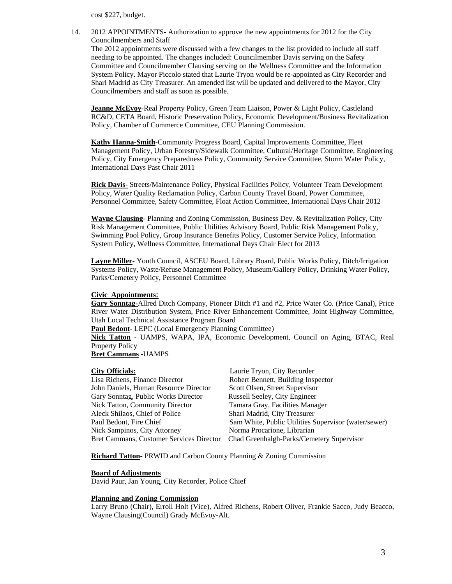cost \$227, budget.

14. 2012 APPOINTMENTS- Authorization to approve the new appointments for 2012 for the City Councilmembers and Staff

The 2012 appointments were discussed with a few changes to the list provided to include all staff needing to be appointed. The changes included: Councilmember Davis serving on the Safety Committee and Councilmember Clausing serving on the Wellness Committee and the Information System Policy. Mayor Piccolo stated that Laurie Tryon would be re-appointed as City Recorder and Shari Madrid as City Treasurer. An amended list will be updated and delivered to the Mayor, City Councilmembers and staff as soon as possible.

**Jeanne McEvoy**-Real Property Policy, Green Team Liaison, Power & Light Policy, Castleland RC&D, CETA Board, Historic Preservation Policy, Economic Development/Business Revitalization Policy, Chamber of Commerce Committee, CEU Planning Commission.

**Kathy Hanna-Smith**-Community Progress Board, Capital Improvements Committee, Fleet Management Policy, Urban Forestry/Sidewalk Committee, Cultural/Heritage Committee, Engineering Policy, City Emergency Preparedness Policy, Community Service Committee, Storm Water Policy, International Days Past Chair 2011

**Rick Davis**- Streets/Maintenance Policy, Physical Facilities Policy, Volunteer Team Development Policy, Water Quality Reclamation Policy, Carbon County Travel Board, Power Committee, Personnel Committee, Safety Committee, Float Action Committee, International Days Chair 2012

**Wayne Clausing**- Planning and Zoning Commission, Business Dev. & Revitalization Policy, City Risk Management Committee, Public Utilities Advisory Board, Public Risk Management Policy, Swimming Pool Policy, Group Insurance Benefits Policy, Customer Service Policy, Information System Policy, Wellness Committee, International Days Chair Elect for 2013

**Layne Miller**- Youth Council, ASCEU Board, Library Board, Public Works Policy, Ditch/Irrigation Systems Policy, Waste/Refuse Management Policy, Museum/Gallery Policy, Drinking Water Policy, Parks/Cemetery Policy, Personnel Committee

#### **Civic Appointments:**

**Gary Sonntag-**Allred Ditch Company, Pioneer Ditch #1 and #2, Price Water Co. (Price Canal), Price River Water Distribution System, Price River Enhancement Committee, Joint Highway Committee, Utah Local Technical Assistance Program Board

**Paul Bedont**- LEPC (Local Emergency Planning Committee)

**Nick Tatton** - UAMPS, WAPA, IPA, Economic Development, Council on Aging, BTAC, Real Property Policy

**Bret Cammans** -UAMPS

# **City Officials:** Laurie Tryon, City Recorder

| City Officials.                          | Lauric Tryon, City Recorder                          |
|------------------------------------------|------------------------------------------------------|
| Lisa Richens, Finance Director           | Robert Bennett, Building Inspector                   |
| John Daniels, Human Resource Director    | Scott Olsen, Street Supervisor                       |
| Gary Sonntag, Public Works Director      | Russell Seeley, City Engineer                        |
| Nick Tatton, Community Director          | Tamara Gray, Facilities Manager                      |
| Aleck Shilaos, Chief of Police           | Shari Madrid, City Treasurer                         |
| Paul Bedont, Fire Chief                  | Sam White, Public Utilities Supervisor (water/sewer) |
| Nick Sampinos, City Attorney             | Norma Procarione, Librarian                          |
| Bret Cammans, Customer Services Director | Chad Greenhalgh-Parks/Cemetery Supervisor            |
|                                          |                                                      |

**Richard Tatton**- PRWID and Carbon County Planning & Zoning Commission

#### **Board of Adjustments**

David Paur, Jan Young, City Recorder, Police Chief

### **Planning and Zoning Commission**

Larry Bruno (Chair), Erroll Holt (Vice), Alfred Richens, Robert Oliver, Frankie Sacco, Judy Beacco, Wayne Clausing(Council) Grady McEvoy-Alt.